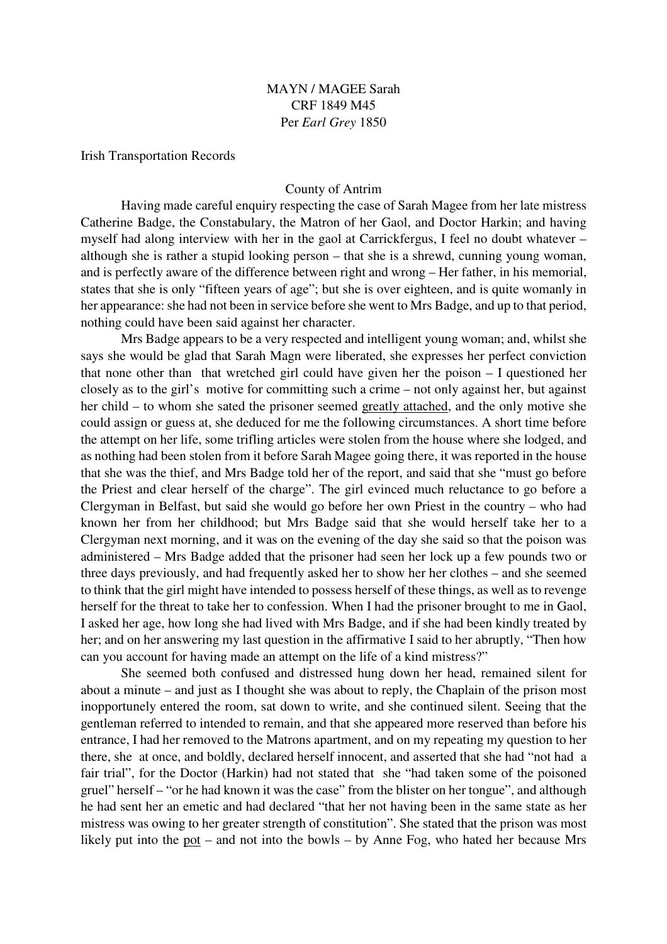# MAYN / MAGEE Sarah CRF 1849 M45 Per *Earl Grey* 1850

Irish Transportation Records

## County of Antrim

Having made careful enquiry respecting the case of Sarah Magee from her late mistress Catherine Badge, the Constabulary, the Matron of her Gaol, and Doctor Harkin; and having myself had along interview with her in the gaol at Carrickfergus, I feel no doubt whatever – although she is rather a stupid looking person – that she is a shrewd, cunning young woman, and is perfectly aware of the difference between right and wrong – Her father, in his memorial, states that she is only "fifteen years of age"; but she is over eighteen, and is quite womanly in her appearance: she had not been in service before she went to Mrs Badge, and up to that period, nothing could have been said against her character.

 Mrs Badge appears to be a very respected and intelligent young woman; and, whilst she says she would be glad that Sarah Magn were liberated, she expresses her perfect conviction that none other than that wretched girl could have given her the poison – I questioned her closely as to the girl's motive for committing such a crime – not only against her, but against her child – to whom she sated the prisoner seemed greatly attached, and the only motive she could assign or guess at, she deduced for me the following circumstances. A short time before the attempt on her life, some trifling articles were stolen from the house where she lodged, and as nothing had been stolen from it before Sarah Magee going there, it was reported in the house that she was the thief, and Mrs Badge told her of the report, and said that she "must go before the Priest and clear herself of the charge". The girl evinced much reluctance to go before a Clergyman in Belfast, but said she would go before her own Priest in the country – who had known her from her childhood; but Mrs Badge said that she would herself take her to a Clergyman next morning, and it was on the evening of the day she said so that the poison was administered – Mrs Badge added that the prisoner had seen her lock up a few pounds two or three days previously, and had frequently asked her to show her her clothes – and she seemed to think that the girl might have intended to possess herself of these things, as well as to revenge herself for the threat to take her to confession. When I had the prisoner brought to me in Gaol, I asked her age, how long she had lived with Mrs Badge, and if she had been kindly treated by her; and on her answering my last question in the affirmative I said to her abruptly, "Then how can you account for having made an attempt on the life of a kind mistress?"

 She seemed both confused and distressed hung down her head, remained silent for about a minute – and just as I thought she was about to reply, the Chaplain of the prison most inopportunely entered the room, sat down to write, and she continued silent. Seeing that the gentleman referred to intended to remain, and that she appeared more reserved than before his entrance, I had her removed to the Matrons apartment, and on my repeating my question to her there, she at once, and boldly, declared herself innocent, and asserted that she had "not had a fair trial", for the Doctor (Harkin) had not stated that she "had taken some of the poisoned gruel" herself – "or he had known it was the case" from the blister on her tongue", and although he had sent her an emetic and had declared "that her not having been in the same state as her mistress was owing to her greater strength of constitution". She stated that the prison was most likely put into the pot – and not into the bowls – by Anne Fog, who hated her because Mrs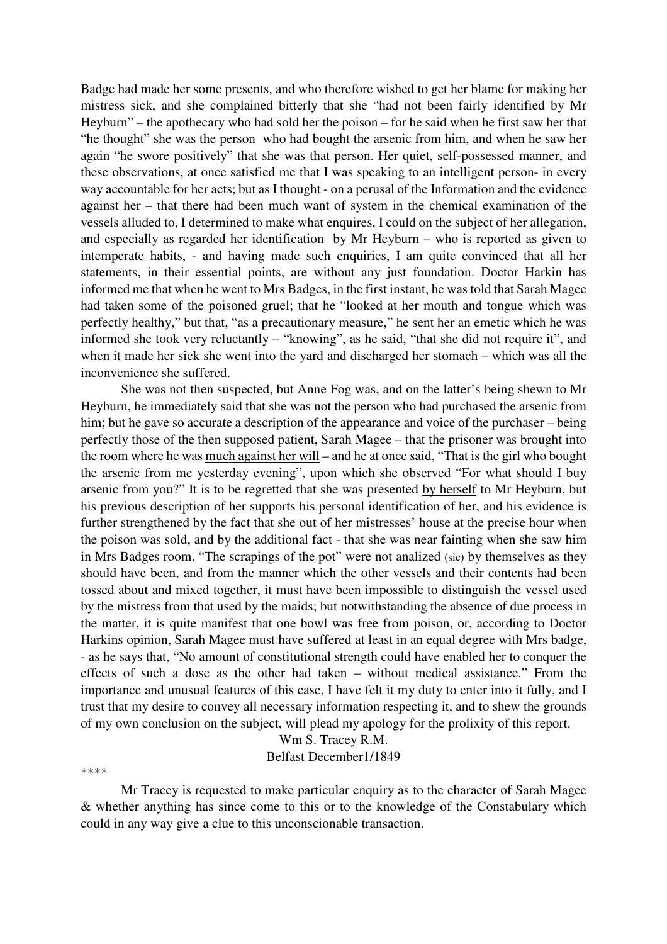Badge had made her some presents, and who therefore wished to get her blame for making her mistress sick, and she complained bitterly that she "had not been fairly identified by Mr Heyburn" – the apothecary who had sold her the poison – for he said when he first saw her that "he thought" she was the person who had bought the arsenic from him, and when he saw her again "he swore positively" that she was that person. Her quiet, self-possessed manner, and these observations, at once satisfied me that I was speaking to an intelligent person- in every way accountable for her acts; but as I thought - on a perusal of the Information and the evidence against her – that there had been much want of system in the chemical examination of the vessels alluded to, I determined to make what enquires, I could on the subject of her allegation, and especially as regarded her identification by Mr Heyburn – who is reported as given to intemperate habits, - and having made such enquiries, I am quite convinced that all her statements, in their essential points, are without any just foundation. Doctor Harkin has informed me that when he went to Mrs Badges, in the first instant, he was told that Sarah Magee had taken some of the poisoned gruel; that he "looked at her mouth and tongue which was perfectly healthy," but that, "as a precautionary measure," he sent her an emetic which he was informed she took very reluctantly – "knowing", as he said, "that she did not require it", and when it made her sick she went into the yard and discharged her stomach – which was all the inconvenience she suffered.

 She was not then suspected, but Anne Fog was, and on the latter's being shewn to Mr Heyburn, he immediately said that she was not the person who had purchased the arsenic from him; but he gave so accurate a description of the appearance and voice of the purchaser – being perfectly those of the then supposed patient, Sarah Magee – that the prisoner was brought into the room where he was much against her will – and he at once said, "That is the girl who bought the arsenic from me yesterday evening", upon which she observed "For what should I buy arsenic from you?" It is to be regretted that she was presented by herself to Mr Heyburn, but his previous description of her supports his personal identification of her, and his evidence is further strengthened by the fact that she out of her mistresses' house at the precise hour when the poison was sold, and by the additional fact - that she was near fainting when she saw him in Mrs Badges room. "The scrapings of the pot" were not analized (sic) by themselves as they should have been, and from the manner which the other vessels and their contents had been tossed about and mixed together, it must have been impossible to distinguish the vessel used by the mistress from that used by the maids; but notwithstanding the absence of due process in the matter, it is quite manifest that one bowl was free from poison, or, according to Doctor Harkins opinion, Sarah Magee must have suffered at least in an equal degree with Mrs badge, - as he says that, "No amount of constitutional strength could have enabled her to conquer the effects of such a dose as the other had taken – without medical assistance." From the importance and unusual features of this case, I have felt it my duty to enter into it fully, and I trust that my desire to convey all necessary information respecting it, and to shew the grounds of my own conclusion on the subject, will plead my apology for the prolixity of this report.

> Wm S. Tracey R.M. Belfast December1/1849

\*\*\*\*

Mr Tracey is requested to make particular enquiry as to the character of Sarah Magee & whether anything has since come to this or to the knowledge of the Constabulary which could in any way give a clue to this unconscionable transaction.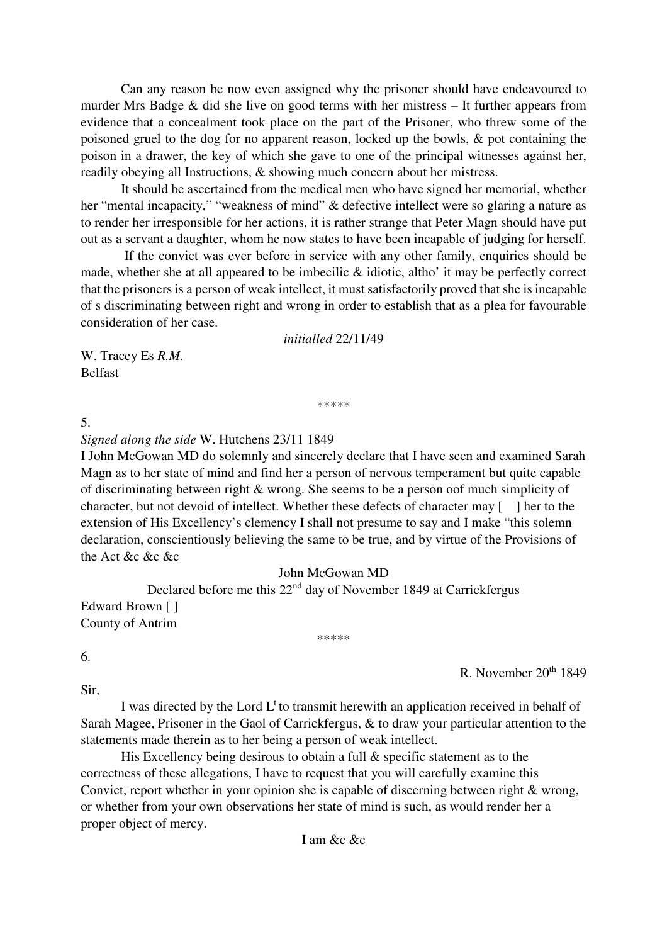Can any reason be now even assigned why the prisoner should have endeavoured to murder Mrs Badge & did she live on good terms with her mistress – It further appears from evidence that a concealment took place on the part of the Prisoner, who threw some of the poisoned gruel to the dog for no apparent reason, locked up the bowls, & pot containing the poison in a drawer, the key of which she gave to one of the principal witnesses against her, readily obeying all Instructions, & showing much concern about her mistress.

 It should be ascertained from the medical men who have signed her memorial, whether her "mental incapacity," "weakness of mind" & defective intellect were so glaring a nature as to render her irresponsible for her actions, it is rather strange that Peter Magn should have put out as a servant a daughter, whom he now states to have been incapable of judging for herself.

 If the convict was ever before in service with any other family, enquiries should be made, whether she at all appeared to be imbecilic & idiotic, altho' it may be perfectly correct that the prisoners is a person of weak intellect, it must satisfactorily proved that she is incapable of s discriminating between right and wrong in order to establish that as a plea for favourable consideration of her case.

*initialled* 22/11/49

W. Tracey Es *R.M.*  Belfast

### \*\*\*\*\*

5.

*Signed along the side* W. Hutchens 23/11 1849

I John McGowan MD do solemnly and sincerely declare that I have seen and examined Sarah Magn as to her state of mind and find her a person of nervous temperament but quite capable of discriminating between right & wrong. She seems to be a person oof much simplicity of character, but not devoid of intellect. Whether these defects of character may [ ] her to the extension of His Excellency's clemency I shall not presume to say and I make "this solemn declaration, conscientiously believing the same to be true, and by virtue of the Provisions of the Act &c &c &c

# John McGowan MD

\*\*\*\*\*

Declared before me this  $22<sup>nd</sup>$  day of November 1849 at Carrickfergus Edward Brown [ ] County of Antrim

R. November 20<sup>th</sup> 1849

Sir,

6.

I was directed by the Lord  $L^t$  to transmit herewith an application received in behalf of Sarah Magee, Prisoner in the Gaol of Carrickfergus, & to draw your particular attention to the statements made therein as to her being a person of weak intellect.

 His Excellency being desirous to obtain a full & specific statement as to the correctness of these allegations, I have to request that you will carefully examine this Convict, report whether in your opinion she is capable of discerning between right & wrong, or whether from your own observations her state of mind is such, as would render her a proper object of mercy.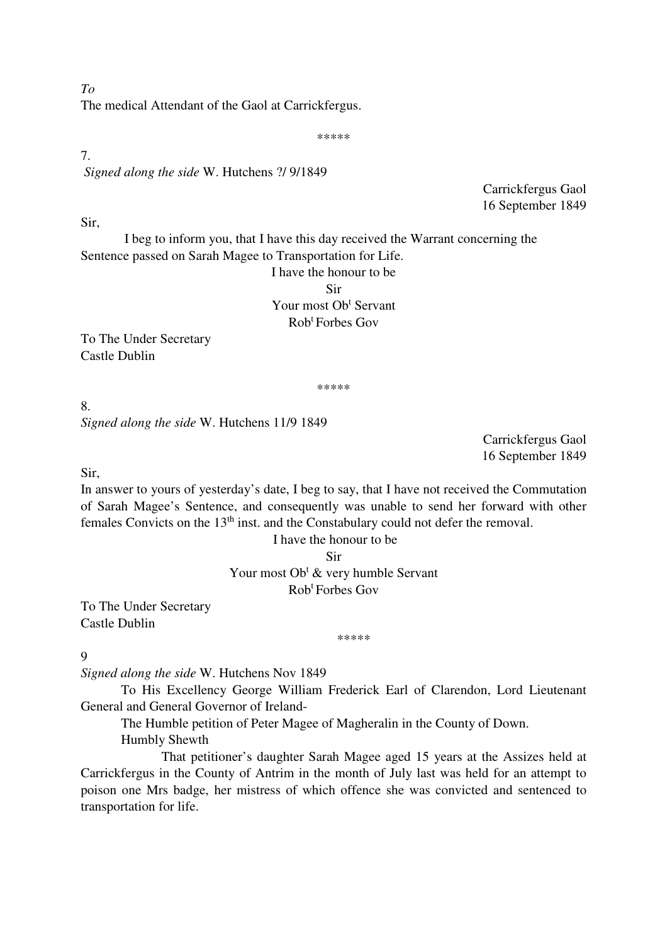The medical Attendant of the Gaol at Carrickfergus.

### \*\*\*\*\*

# 7.  *Signed along the side* W. Hutchens ?/ 9/1849

Carrickfergus Gaol 16 September 1849

Sir,

 I beg to inform you, that I have this day received the Warrant concerning the Sentence passed on Sarah Magee to Transportation for Life.

I have the honour to be Sir Your most Ob<sup>t</sup> Servant Rob<sup>t</sup> Forbes Gov

To The Under Secretary Castle Dublin

\*\*\*\*\*

8. *Signed along the side* W. Hutchens 11/9 1849

> Carrickfergus Gaol 16 September 1849

Sir,

In answer to yours of yesterday's date, I beg to say, that I have not received the Commutation of Sarah Magee's Sentence, and consequently was unable to send her forward with other females Convicts on the 13<sup>th</sup> inst. and the Constabulary could not defer the removal.

I have the honour to be

Sir

Your most Ob<sup>t</sup> & very humble Servant

Rob<sup>t</sup> Forbes Gov

To The Under Secretary Castle Dublin

\*\*\*\*\*

9

*Signed along the side* W. Hutchens Nov 1849

To His Excellency George William Frederick Earl of Clarendon, Lord Lieutenant General and General Governor of Ireland-

The Humble petition of Peter Magee of Magheralin in the County of Down. Humbly Shewth

 That petitioner's daughter Sarah Magee aged 15 years at the Assizes held at Carrickfergus in the County of Antrim in the month of July last was held for an attempt to poison one Mrs badge, her mistress of which offence she was convicted and sentenced to transportation for life.

*To*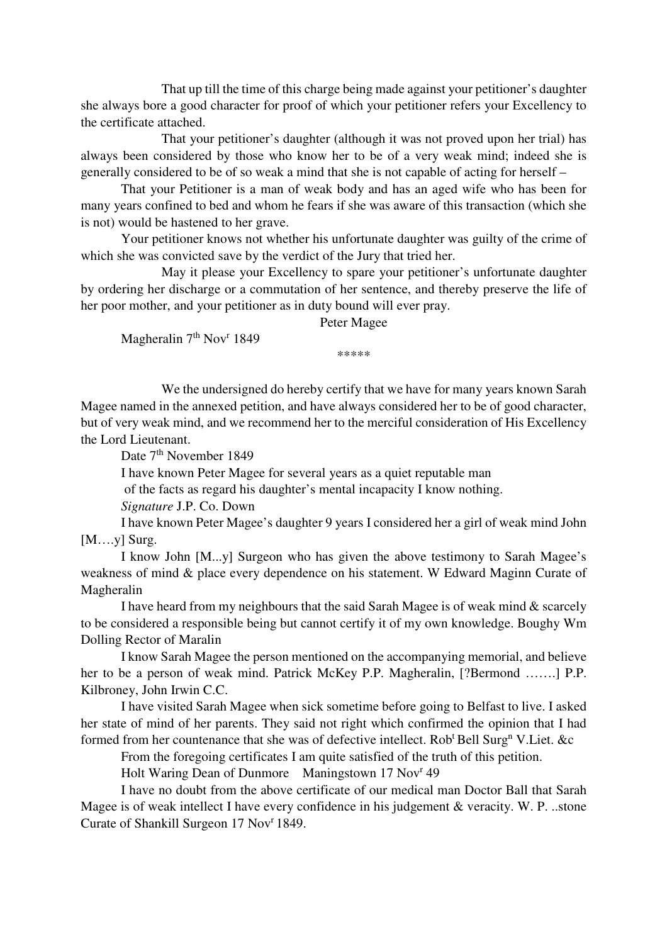That up till the time of this charge being made against your petitioner's daughter she always bore a good character for proof of which your petitioner refers your Excellency to the certificate attached.

 That your petitioner's daughter (although it was not proved upon her trial) has always been considered by those who know her to be of a very weak mind; indeed she is generally considered to be of so weak a mind that she is not capable of acting for herself –

That your Petitioner is a man of weak body and has an aged wife who has been for many years confined to bed and whom he fears if she was aware of this transaction (which she is not) would be hastened to her grave.

Your petitioner knows not whether his unfortunate daughter was guilty of the crime of which she was convicted save by the verdict of the Jury that tried her.

 May it please your Excellency to spare your petitioner's unfortunate daughter by ordering her discharge or a commutation of her sentence, and thereby preserve the life of her poor mother, and your petitioner as in duty bound will ever pray.

Peter Magee

Magheralin 7<sup>th</sup> Nov<sup>r</sup> 1849

\*\*\*\*\*\*

We the undersigned do hereby certify that we have for many years known Sarah Magee named in the annexed petition, and have always considered her to be of good character, but of very weak mind, and we recommend her to the merciful consideration of His Excellency the Lord Lieutenant.

Date 7<sup>th</sup> November 1849

I have known Peter Magee for several years as a quiet reputable man

of the facts as regard his daughter's mental incapacity I know nothing.

*Signature* J.P. Co. Down

I have known Peter Magee's daughter 9 years I considered her a girl of weak mind John [M….y] Surg.

I know John [M...y] Surgeon who has given the above testimony to Sarah Magee's weakness of mind & place every dependence on his statement. W Edward Maginn Curate of Magheralin

I have heard from my neighbours that the said Sarah Magee is of weak mind & scarcely to be considered a responsible being but cannot certify it of my own knowledge. Boughy Wm Dolling Rector of Maralin

I know Sarah Magee the person mentioned on the accompanying memorial, and believe her to be a person of weak mind. Patrick McKey P.P. Magheralin, [?Bermond …….] P.P. Kilbroney, John Irwin C.C.

I have visited Sarah Magee when sick sometime before going to Belfast to live. I asked her state of mind of her parents. They said not right which confirmed the opinion that I had formed from her countenance that she was of defective intellect. Rob<sup>t</sup> Bell Surg<sup>n</sup> V.Liet. &c

From the foregoing certificates I am quite satisfied of the truth of this petition.

Holt Waring Dean of Dunmore Maningstown 17 Nov<sup>r</sup> 49

I have no doubt from the above certificate of our medical man Doctor Ball that Sarah Magee is of weak intellect I have every confidence in his judgement & veracity. W. P. ..stone Curate of Shankill Surgeon 17 Nov<sup>r</sup> 1849.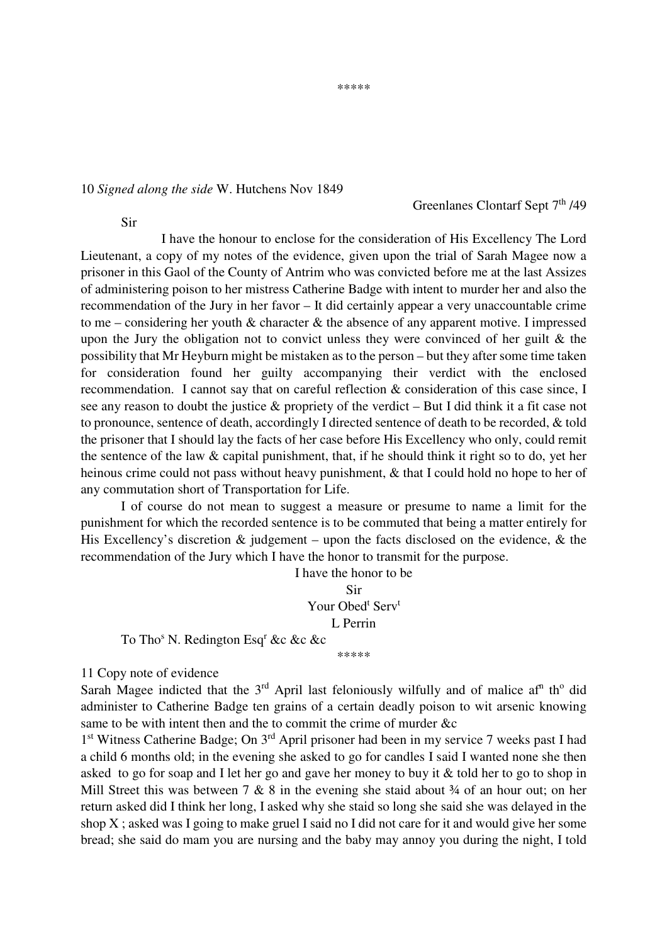#### \*\*\*\*\*

### 10 *Signed along the side* W. Hutchens Nov 1849

## Greenlanes Clontarf Sept 7<sup>th</sup> /49

Sir

 I have the honour to enclose for the consideration of His Excellency The Lord Lieutenant, a copy of my notes of the evidence, given upon the trial of Sarah Magee now a prisoner in this Gaol of the County of Antrim who was convicted before me at the last Assizes of administering poison to her mistress Catherine Badge with intent to murder her and also the recommendation of the Jury in her favor – It did certainly appear a very unaccountable crime to me – considering her youth  $\&$  character  $\&$  the absence of any apparent motive. I impressed upon the Jury the obligation not to convict unless they were convinced of her guilt & the possibility that Mr Heyburn might be mistaken as to the person – but they after some time taken for consideration found her guilty accompanying their verdict with the enclosed recommendation. I cannot say that on careful reflection & consideration of this case since, I see any reason to doubt the justice & propriety of the verdict – But I did think it a fit case not to pronounce, sentence of death, accordingly I directed sentence of death to be recorded, & told the prisoner that I should lay the facts of her case before His Excellency who only, could remit the sentence of the law & capital punishment, that, if he should think it right so to do, yet her heinous crime could not pass without heavy punishment, & that I could hold no hope to her of any commutation short of Transportation for Life.

I of course do not mean to suggest a measure or presume to name a limit for the punishment for which the recorded sentence is to be commuted that being a matter entirely for His Excellency's discretion  $\&$  judgement – upon the facts disclosed on the evidence,  $\&$  the recommendation of the Jury which I have the honor to transmit for the purpose.

> I have the honor to be Sir Your Obed<sup>t</sup> Serv<sup>t</sup> L Perrin

To Tho<sup>s</sup> N. Redington Esq<sup>r</sup> &c &c &c

\*\*\*\*\*

11 Copy note of evidence

Sarah Magee indicted that the  $3<sup>rd</sup>$  April last feloniously wilfully and of malice af<sup>n</sup> th<sup>o</sup> did administer to Catherine Badge ten grains of a certain deadly poison to wit arsenic knowing same to be with intent then and the to commit the crime of murder &c

1<sup>st</sup> Witness Catherine Badge; On 3<sup>rd</sup> April prisoner had been in my service 7 weeks past I had a child 6 months old; in the evening she asked to go for candles I said I wanted none she then asked to go for soap and I let her go and gave her money to buy it & told her to go to shop in Mill Street this was between 7  $\&$  8 in the evening she staid about  $\frac{3}{4}$  of an hour out; on her return asked did I think her long, I asked why she staid so long she said she was delayed in the shop X ; asked was I going to make gruel I said no I did not care for it and would give her some bread; she said do mam you are nursing and the baby may annoy you during the night, I told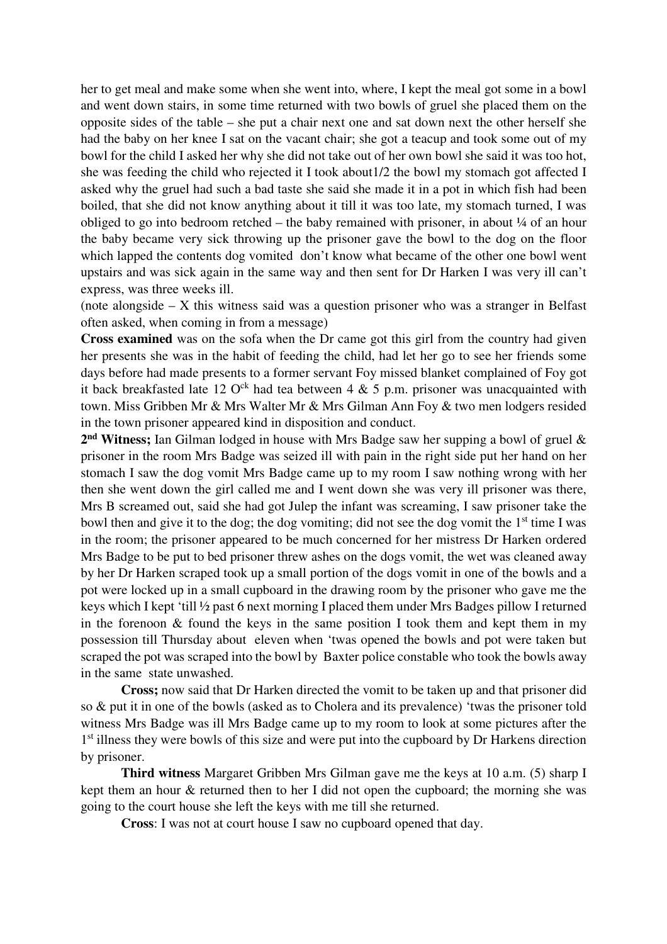her to get meal and make some when she went into, where, I kept the meal got some in a bowl and went down stairs, in some time returned with two bowls of gruel she placed them on the opposite sides of the table – she put a chair next one and sat down next the other herself she had the baby on her knee I sat on the vacant chair; she got a teacup and took some out of my bowl for the child I asked her why she did not take out of her own bowl she said it was too hot, she was feeding the child who rejected it I took about1/2 the bowl my stomach got affected I asked why the gruel had such a bad taste she said she made it in a pot in which fish had been boiled, that she did not know anything about it till it was too late, my stomach turned, I was obliged to go into bedroom retched – the baby remained with prisoner, in about  $\frac{1}{4}$  of an hour the baby became very sick throwing up the prisoner gave the bowl to the dog on the floor which lapped the contents dog vomited don't know what became of the other one bowl went upstairs and was sick again in the same way and then sent for Dr Harken I was very ill can't express, was three weeks ill.

(note alongside – X this witness said was a question prisoner who was a stranger in Belfast often asked, when coming in from a message)

**Cross examined** was on the sofa when the Dr came got this girl from the country had given her presents she was in the habit of feeding the child, had let her go to see her friends some days before had made presents to a former servant Foy missed blanket complained of Foy got it back breakfasted late 12  $O<sup>ck</sup>$  had tea between 4 & 5 p.m. prisoner was unacquainted with town. Miss Gribben Mr & Mrs Walter Mr & Mrs Gilman Ann Foy & two men lodgers resided in the town prisoner appeared kind in disposition and conduct.

**2 nd Witness;** Ian Gilman lodged in house with Mrs Badge saw her supping a bowl of gruel & prisoner in the room Mrs Badge was seized ill with pain in the right side put her hand on her stomach I saw the dog vomit Mrs Badge came up to my room I saw nothing wrong with her then she went down the girl called me and I went down she was very ill prisoner was there, Mrs B screamed out, said she had got Julep the infant was screaming, I saw prisoner take the bowl then and give it to the dog; the dog vomiting; did not see the dog vomit the  $1<sup>st</sup>$  time I was in the room; the prisoner appeared to be much concerned for her mistress Dr Harken ordered Mrs Badge to be put to bed prisoner threw ashes on the dogs vomit, the wet was cleaned away by her Dr Harken scraped took up a small portion of the dogs vomit in one of the bowls and a pot were locked up in a small cupboard in the drawing room by the prisoner who gave me the keys which I kept 'till ½ past 6 next morning I placed them under Mrs Badges pillow I returned in the forenoon  $\&$  found the keys in the same position I took them and kept them in my possession till Thursday about eleven when 'twas opened the bowls and pot were taken but scraped the pot was scraped into the bowl by Baxter police constable who took the bowls away in the same state unwashed.

**Cross;** now said that Dr Harken directed the vomit to be taken up and that prisoner did so & put it in one of the bowls (asked as to Cholera and its prevalence) 'twas the prisoner told witness Mrs Badge was ill Mrs Badge came up to my room to look at some pictures after the 1<sup>st</sup> illness they were bowls of this size and were put into the cupboard by Dr Harkens direction by prisoner.

**Third witness** Margaret Gribben Mrs Gilman gave me the keys at 10 a.m. (5) sharp I kept them an hour & returned then to her I did not open the cupboard; the morning she was going to the court house she left the keys with me till she returned.

**Cross**: I was not at court house I saw no cupboard opened that day.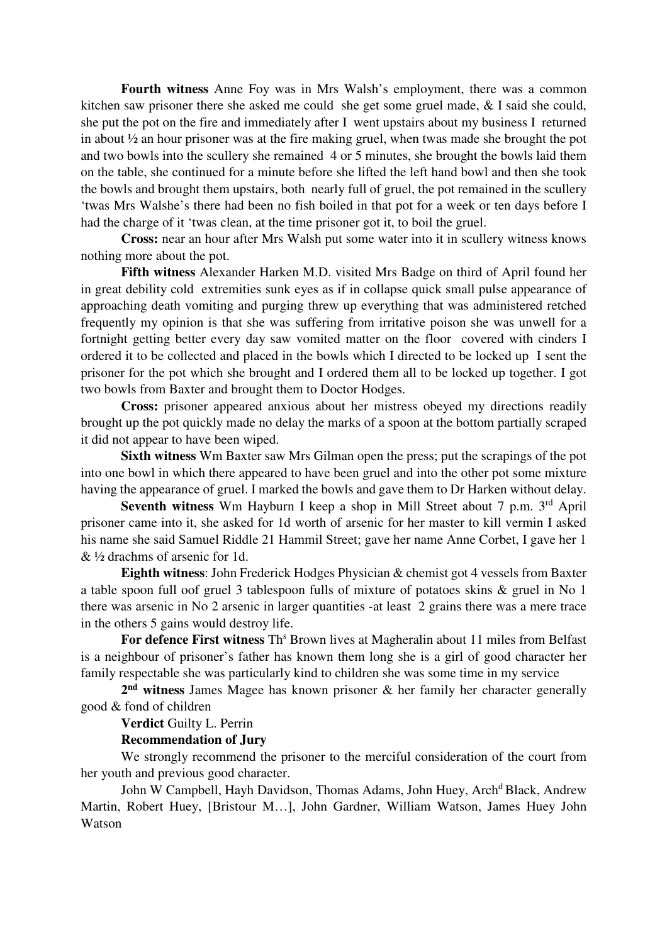**Fourth witness** Anne Foy was in Mrs Walsh's employment, there was a common kitchen saw prisoner there she asked me could she get some gruel made, & I said she could, she put the pot on the fire and immediately after I went upstairs about my business I returned in about ½ an hour prisoner was at the fire making gruel, when twas made she brought the pot and two bowls into the scullery she remained 4 or 5 minutes, she brought the bowls laid them on the table, she continued for a minute before she lifted the left hand bowl and then she took the bowls and brought them upstairs, both nearly full of gruel, the pot remained in the scullery 'twas Mrs Walshe's there had been no fish boiled in that pot for a week or ten days before I had the charge of it 'twas clean, at the time prisoner got it, to boil the gruel.

**Cross:** near an hour after Mrs Walsh put some water into it in scullery witness knows nothing more about the pot.

**Fifth witness** Alexander Harken M.D. visited Mrs Badge on third of April found her in great debility cold extremities sunk eyes as if in collapse quick small pulse appearance of approaching death vomiting and purging threw up everything that was administered retched frequently my opinion is that she was suffering from irritative poison she was unwell for a fortnight getting better every day saw vomited matter on the floor covered with cinders I ordered it to be collected and placed in the bowls which I directed to be locked up I sent the prisoner for the pot which she brought and I ordered them all to be locked up together. I got two bowls from Baxter and brought them to Doctor Hodges.

**Cross:** prisoner appeared anxious about her mistress obeyed my directions readily brought up the pot quickly made no delay the marks of a spoon at the bottom partially scraped it did not appear to have been wiped.

**Sixth witness** Wm Baxter saw Mrs Gilman open the press; put the scrapings of the pot into one bowl in which there appeared to have been gruel and into the other pot some mixture having the appearance of gruel. I marked the bowls and gave them to Dr Harken without delay.

**Seventh witness** Wm Hayburn I keep a shop in Mill Street about 7 p.m. 3<sup>rd</sup> April prisoner came into it, she asked for 1d worth of arsenic for her master to kill vermin I asked his name she said Samuel Riddle 21 Hammil Street; gave her name Anne Corbet, I gave her 1 & ½ drachms of arsenic for 1d.

**Eighth witness**: John Frederick Hodges Physician & chemist got 4 vessels from Baxter a table spoon full oof gruel 3 tablespoon fulls of mixture of potatoes skins & gruel in No 1 there was arsenic in No 2 arsenic in larger quantities -at least 2 grains there was a mere trace in the others 5 gains would destroy life.

For defence First witness Th<sup>s</sup> Brown lives at Magheralin about 11 miles from Belfast is a neighbour of prisoner's father has known them long she is a girl of good character her family respectable she was particularly kind to children she was some time in my service

**2 nd witness** James Magee has known prisoner & her family her character generally good & fond of children

**Verdict** Guilty L. Perrin

### **Recommendation of Jury**

We strongly recommend the prisoner to the merciful consideration of the court from her youth and previous good character.

John W Campbell, Hayh Davidson, Thomas Adams, John Huey, Arch<sup>d</sup> Black, Andrew Martin, Robert Huey, [Bristour M…], John Gardner, William Watson, James Huey John Watson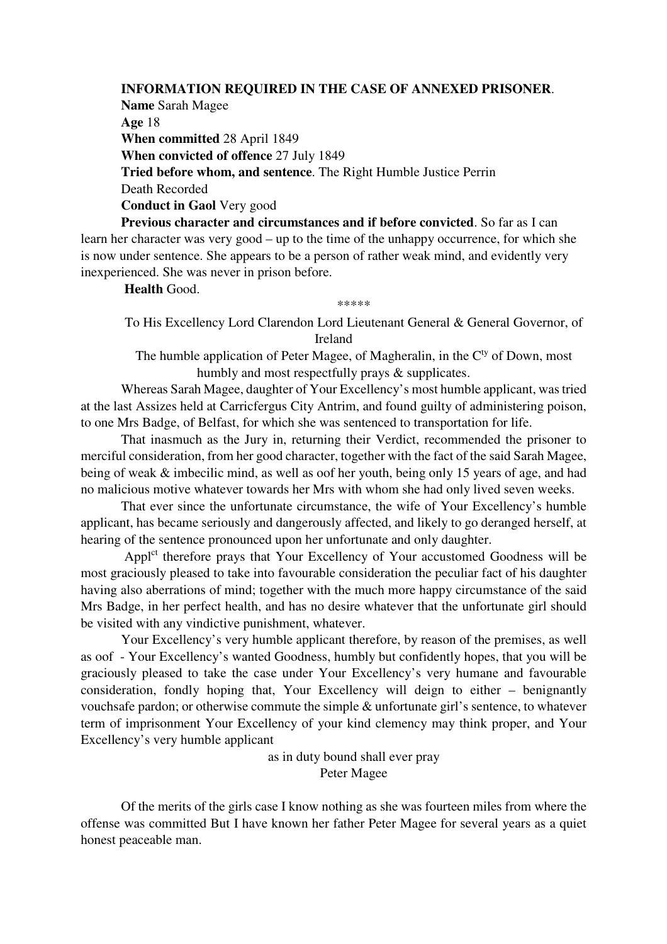## **INFORMATION REQUIRED IN THE CASE OF ANNEXED PRISONER**.

**Name** Sarah Magee **Age** 18 **When committed** 28 April 1849 **When convicted of offence** 27 July 1849 **Tried before whom, and sentence**. The Right Humble Justice Perrin Death Recorded **Conduct in Gaol** Very good

**Previous character and circumstances and if before convicted**. So far as I can learn her character was very good – up to the time of the unhappy occurrence, for which she is now under sentence. She appears to be a person of rather weak mind, and evidently very inexperienced. She was never in prison before.

**Health** Good.

\*\*\*\*\*

To His Excellency Lord Clarendon Lord Lieutenant General & General Governor, of Ireland

The humble application of Peter Magee, of Magheralin, in the  $C<sup>ty</sup>$  of Down, most humbly and most respectfully prays & supplicates.

Whereas Sarah Magee, daughter of Your Excellency's most humble applicant, was tried at the last Assizes held at Carricfergus City Antrim, and found guilty of administering poison, to one Mrs Badge, of Belfast, for which she was sentenced to transportation for life.

That inasmuch as the Jury in, returning their Verdict, recommended the prisoner to merciful consideration, from her good character, together with the fact of the said Sarah Magee, being of weak & imbecilic mind, as well as oof her youth, being only 15 years of age, and had no malicious motive whatever towards her Mrs with whom she had only lived seven weeks.

That ever since the unfortunate circumstance, the wife of Your Excellency's humble applicant, has became seriously and dangerously affected, and likely to go deranged herself, at hearing of the sentence pronounced upon her unfortunate and only daughter.

Appl<sup>ct</sup> therefore prays that Your Excellency of Your accustomed Goodness will be most graciously pleased to take into favourable consideration the peculiar fact of his daughter having also aberrations of mind; together with the much more happy circumstance of the said Mrs Badge, in her perfect health, and has no desire whatever that the unfortunate girl should be visited with any vindictive punishment, whatever.

Your Excellency's very humble applicant therefore, by reason of the premises, as well as oof - Your Excellency's wanted Goodness, humbly but confidently hopes, that you will be graciously pleased to take the case under Your Excellency's very humane and favourable consideration, fondly hoping that, Your Excellency will deign to either – benignantly vouchsafe pardon; or otherwise commute the simple & unfortunate girl's sentence, to whatever term of imprisonment Your Excellency of your kind clemency may think proper, and Your Excellency's very humble applicant

> as in duty bound shall ever pray Peter Magee

Of the merits of the girls case I know nothing as she was fourteen miles from where the offense was committed But I have known her father Peter Magee for several years as a quiet honest peaceable man.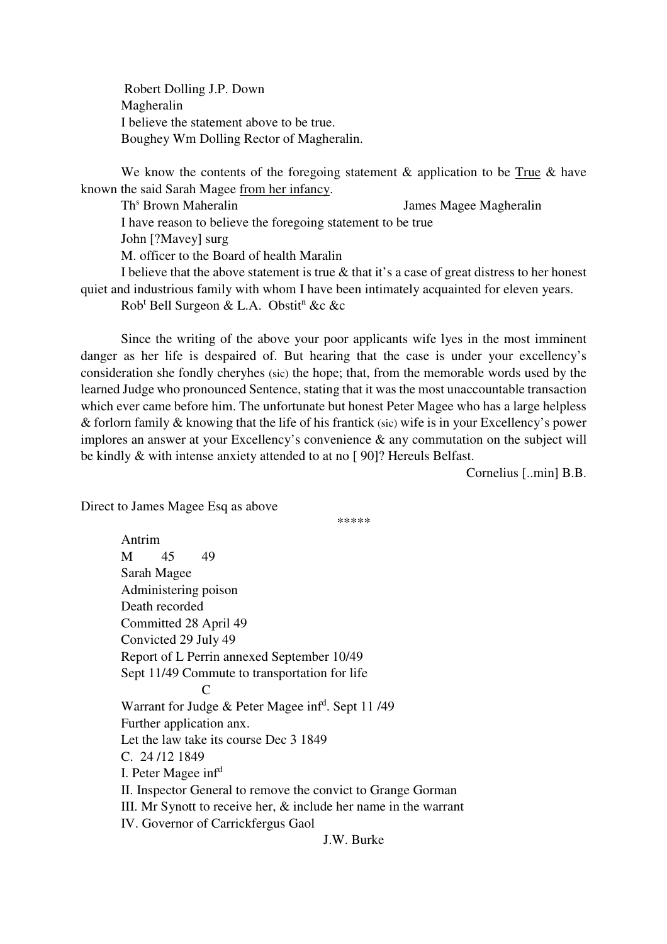Robert Dolling J.P. Down Magheralin I believe the statement above to be true. Boughey Wm Dolling Rector of Magheralin.

We know the contents of the foregoing statement & application to be True & have known the said Sarah Magee from her infancy.

Th<sup>s</sup> Brown Maheralin James Magee Magheralin I have reason to believe the foregoing statement to be true John [?Mavey] surg M. officer to the Board of health Maralin I believe that the above statement is true & that it's a case of great distress to her honest quiet and industrious family with whom I have been intimately acquainted for eleven years.

Rob<sup>t</sup> Bell Surgeon & L.A. Obstit<sup>n</sup> &c &c

Since the writing of the above your poor applicants wife lyes in the most imminent danger as her life is despaired of. But hearing that the case is under your excellency's consideration she fondly cheryhes (sic) the hope; that, from the memorable words used by the learned Judge who pronounced Sentence, stating that it was the most unaccountable transaction which ever came before him. The unfortunate but honest Peter Magee who has a large helpless & forlorn family & knowing that the life of his frantick (sic) wife is in your Excellency's power implores an answer at your Excellency's convenience & any commutation on the subject will be kindly & with intense anxiety attended to at no [ 90]? Hereuls Belfast.

Cornelius [..min] B.B.

Direct to James Magee Esq as above

Antrim

\*\*\*\*\*

M 45 49 Sarah Magee Administering poison Death recorded Committed 28 April 49 Convicted 29 July 49 Report of L Perrin annexed September 10/49 Sept 11/49 Commute to transportation for life  $\Gamma$ Warrant for Judge & Peter Magee inf<sup>d</sup>. Sept 11/49 Further application anx. Let the law take its course Dec 3 1849  $C. 24/12.1849$ I. Peter Magee inf<sup>d</sup> II. Inspector General to remove the convict to Grange Gorman III. Mr Synott to receive her, & include her name in the warrant IV. Governor of Carrickfergus Gaol J.W. Burke